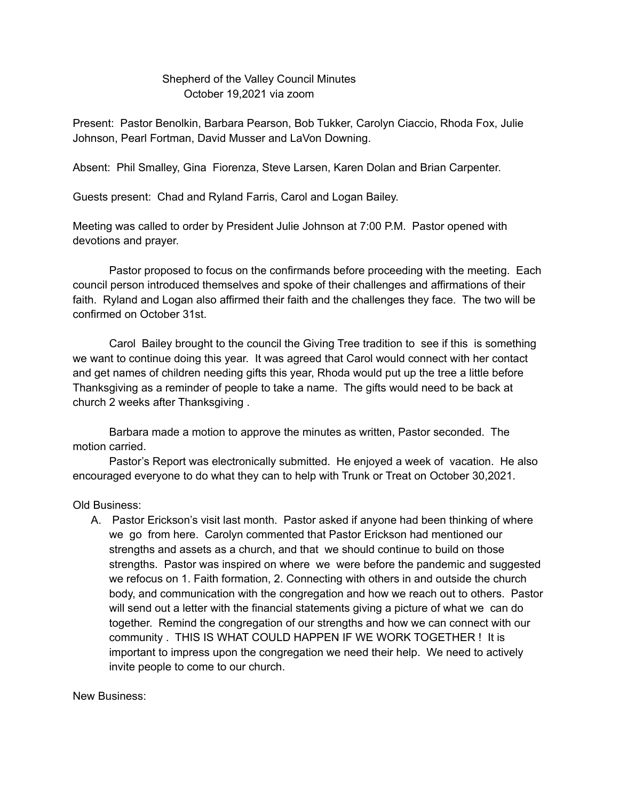## Shepherd of the Valley Council Minutes October 19,2021 via zoom

Present: Pastor Benolkin, Barbara Pearson, Bob Tukker, Carolyn Ciaccio, Rhoda Fox, Julie Johnson, Pearl Fortman, David Musser and LaVon Downing.

Absent: Phil Smalley, Gina Fiorenza, Steve Larsen, Karen Dolan and Brian Carpenter.

Guests present: Chad and Ryland Farris, Carol and Logan Bailey.

Meeting was called to order by President Julie Johnson at 7:00 P.M. Pastor opened with devotions and prayer.

Pastor proposed to focus on the confirmands before proceeding with the meeting. Each council person introduced themselves and spoke of their challenges and affirmations of their faith. Ryland and Logan also affirmed their faith and the challenges they face. The two will be confirmed on October 31st.

Carol Bailey brought to the council the Giving Tree tradition to see if this is something we want to continue doing this year. It was agreed that Carol would connect with her contact and get names of children needing gifts this year, Rhoda would put up the tree a little before Thanksgiving as a reminder of people to take a name. The gifts would need to be back at church 2 weeks after Thanksgiving .

Barbara made a motion to approve the minutes as written, Pastor seconded. The motion carried.

Pastor's Report was electronically submitted. He enjoyed a week of vacation. He also encouraged everyone to do what they can to help with Trunk or Treat on October 30,2021.

Old Business:

A. Pastor Erickson's visit last month. Pastor asked if anyone had been thinking of where we go from here. Carolyn commented that Pastor Erickson had mentioned our strengths and assets as a church, and that we should continue to build on those strengths. Pastor was inspired on where we were before the pandemic and suggested we refocus on 1. Faith formation, 2. Connecting with others in and outside the church body, and communication with the congregation and how we reach out to others. Pastor will send out a letter with the financial statements giving a picture of what we can do together. Remind the congregation of our strengths and how we can connect with our community . THIS IS WHAT COULD HAPPEN IF WE WORK TOGETHER ! It is important to impress upon the congregation we need their help. We need to actively invite people to come to our church.

New Business: